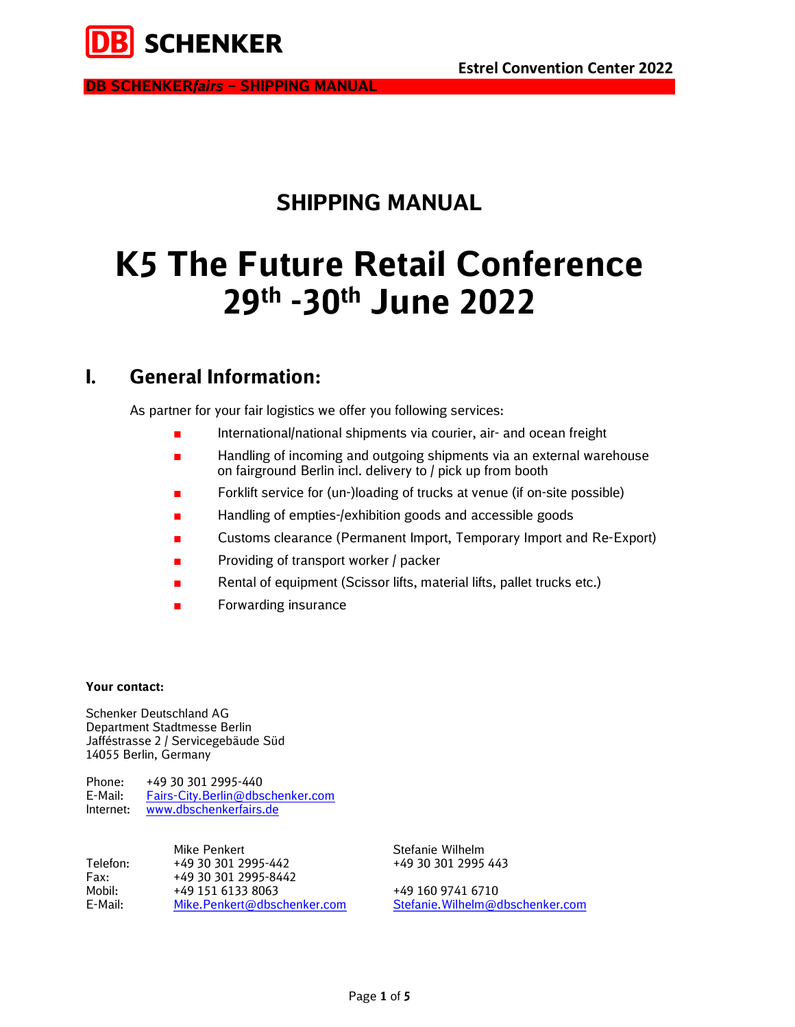

## SHIPPING MANUAL

# K5 The Future Retail Conference 29th -30th June 2022

### I. General Information:

As partner for your fair logistics we offer you following services:

- International/national shipments via courier, air- and ocean freight
- Handling of incoming and outgoing shipments via an external warehouse on fairground Berlin incl. delivery to / pick up from booth
- Forklift service for (un-)loading of trucks at venue (if on-site possible)
- Handling of empties-/exhibition goods and accessible goods
- Customs clearance (Permanent Import, Temporary Import and Re-Export)
- Providing of transport worker / packer
- Rental of equipment (Scissor lifts, material lifts, pallet trucks etc.)
- Forwarding insurance

#### Your contact:

Schenker Deutschland AG Department Stadtmesse Berlin Jafféstrasse 2 / Servicegebäude Süd 14055 Berlin, Germany

Phone: +49 30 301 2995-440 E-Mail: Fairs-City.Berlin@dbschenker.com Internet: www.dbschenkerfairs.de

|          | Mike Penkert                | Stefanie Wilhelm                 |
|----------|-----------------------------|----------------------------------|
| Telefon: | +49 30 301 2995-442         | +49 30 301 2995 443              |
| Fax:     | +49 30 301 2995-8442        |                                  |
| Mobil:   | +49 151 6133 8063           | +49 160 9741 6710                |
| E-Mail:  | Mike.Penkert@dbschenker.com | Stefanie. Wilhelm@dbschenker.com |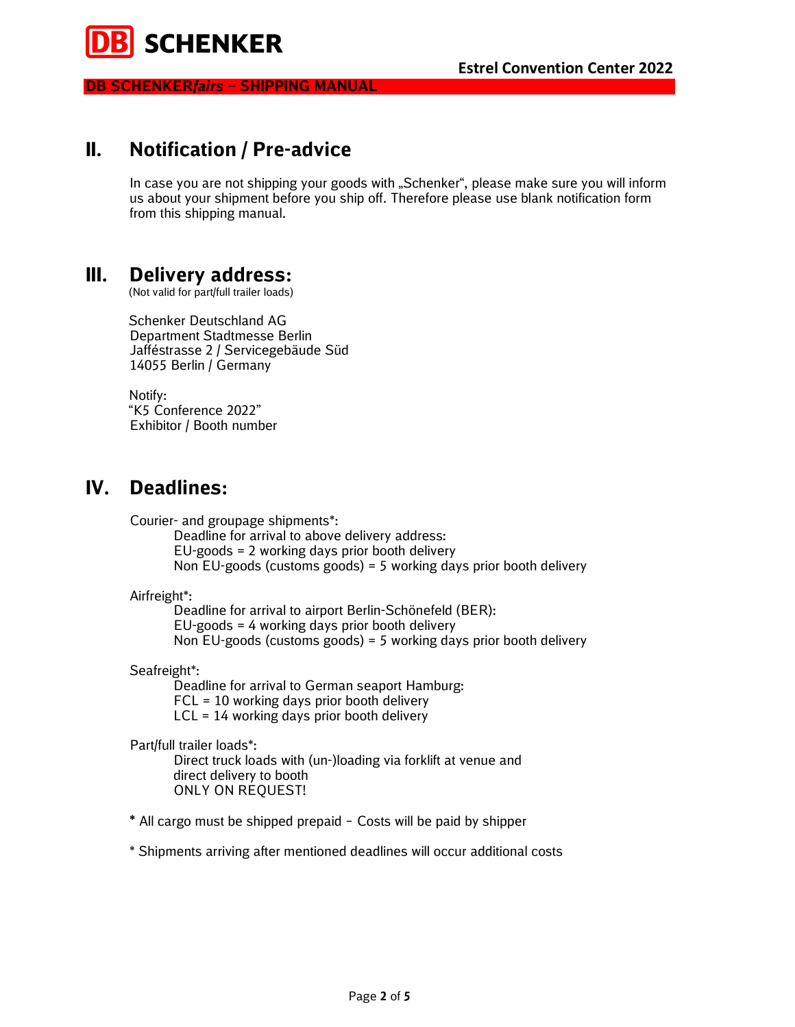

### II. Notification / Pre-advice

In case you are not shipping your goods with "Schenker", please make sure you will inform us about your shipment before you ship off. Therefore please use blank notification form from this shipping manual.

### III. Delivery address:

(Not valid for part/full trailer loads)

Schenker Deutschland AG Department Stadtmesse Berlin Jafféstrasse 2 / Servicegebäude Süd 14055 Berlin / Germany

Notify: "K5 Conference 2022" Exhibitor / Booth number

### IV. Deadlines:

Courier- and groupage shipments\*:

Deadline for arrival to above delivery address: EU-goods = 2 working days prior booth delivery Non EU-goods (customs goods) = 5 working days prior booth delivery

Airfreight\*:

Deadline for arrival to airport Berlin-Schönefeld (BER): EU-goods = 4 working days prior booth delivery Non EU-goods (customs goods) = 5 working days prior booth delivery

Seafreight\*:

Deadline for arrival to German seaport Hamburg: FCL = 10 working days prior booth delivery LCL = 14 working days prior booth delivery

Part/full trailer loads\*:

Direct truck loads with (un-)loading via forklift at venue and direct delivery to booth ONLY ON REQUEST!

\* All cargo must be shipped prepaid – Costs will be paid by shipper

\* Shipments arriving after mentioned deadlines will occur additional costs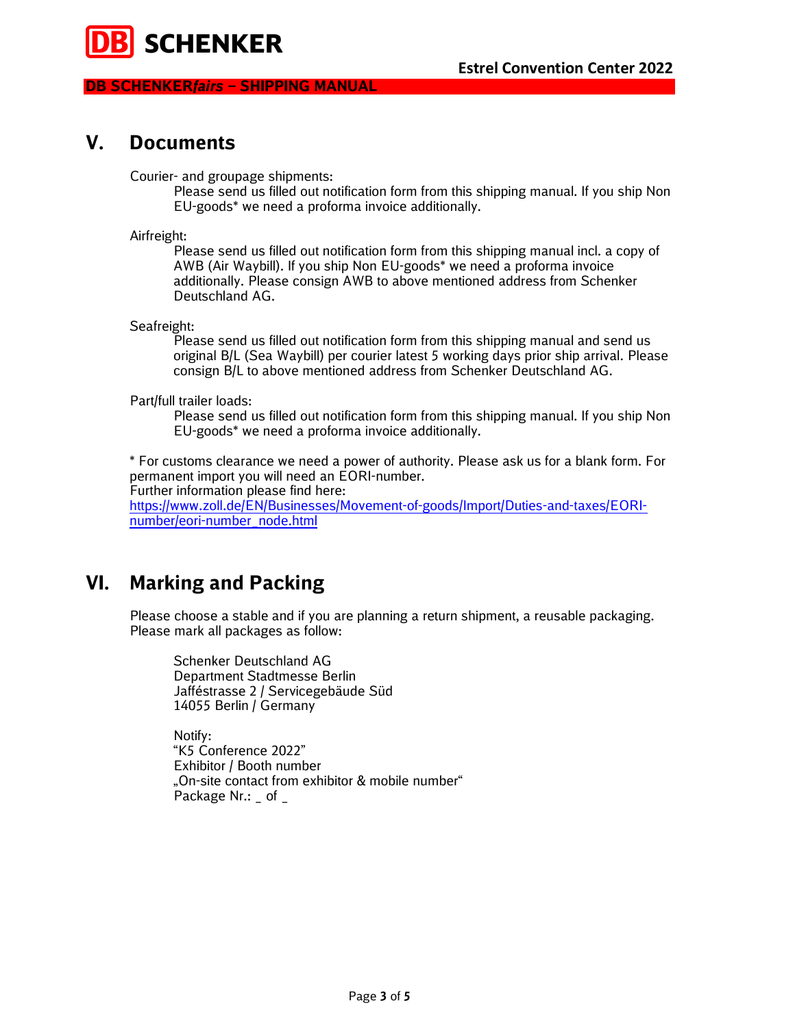

### V. Documents

Courier- and groupage shipments:

Please send us filled out notification form from this shipping manual. If you ship Non EU-goods\* we need a proforma invoice additionally.

Airfreight:

Please send us filled out notification form from this shipping manual incl. a copy of AWB (Air Waybill). If you ship Non EU-goods\* we need a proforma invoice additionally. Please consign AWB to above mentioned address from Schenker Deutschland AG.

Seafreight:

Please send us filled out notification form from this shipping manual and send us original B/L (Sea Waybill) per courier latest 5 working days prior ship arrival. Please consign B/L to above mentioned address from Schenker Deutschland AG.

Part/full trailer loads:

Please send us filled out notification form from this shipping manual. If you ship Non EU-goods\* we need a proforma invoice additionally.

\* For customs clearance we need a power of authority. Please ask us for a blank form. For permanent import you will need an EORI-number.

Further information please find here:

https://www.zoll.de/EN/Businesses/Movement-of-goods/Import/Duties-and-taxes/EORInumber/eori-number\_node.html

### VI. Marking and Packing

Please choose a stable and if you are planning a return shipment, a reusable packaging. Please mark all packages as follow:

Schenker Deutschland AG Department Stadtmesse Berlin Jafféstrasse 2 / Servicegebäude Süd 14055 Berlin / Germany

 Notify: "K5 Conference 2022" Exhibitor / Booth number "On-site contact from exhibitor & mobile number" Package Nr.: of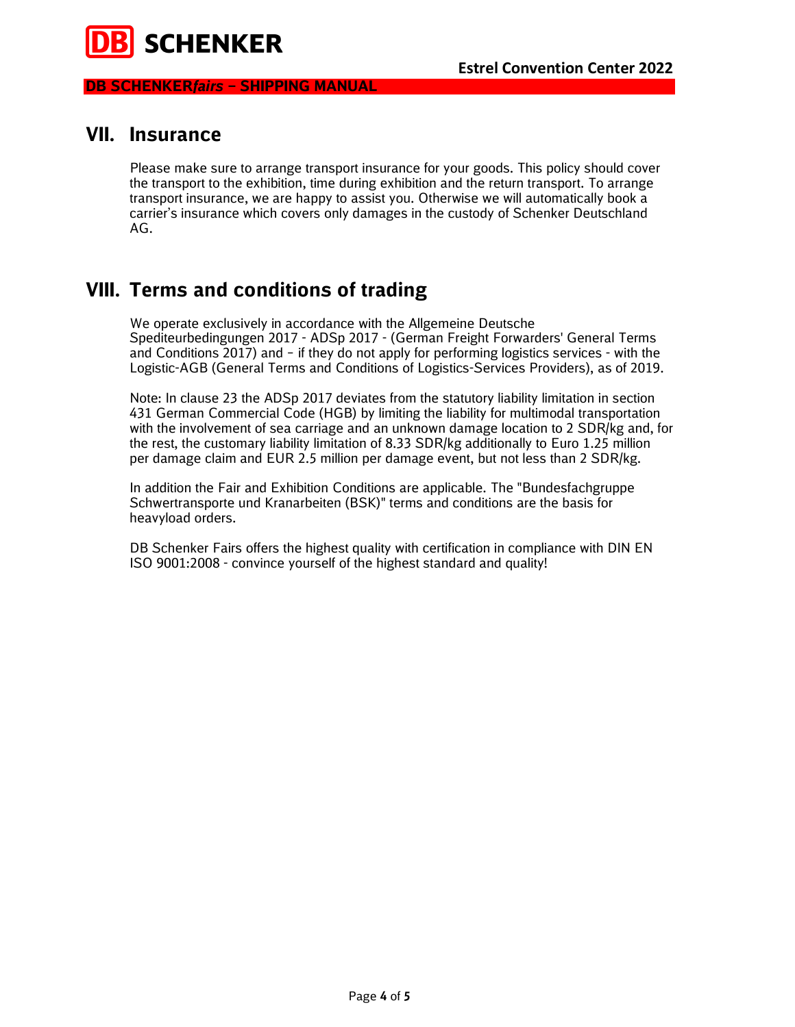

### VII. Insurance

Please make sure to arrange transport insurance for your goods. This policy should cover the transport to the exhibition, time during exhibition and the return transport. To arrange transport insurance, we are happy to assist you. Otherwise we will automatically book a carrier's insurance which covers only damages in the custody of Schenker Deutschland AG.

### VIII. Terms and conditions of trading

We operate exclusively in accordance with the Allgemeine Deutsche Spediteurbedingungen 2017 - ADSp 2017 - (German Freight Forwarders' General Terms and Conditions 2017) and – if they do not apply for performing logistics services - with the Logistic-AGB (General Terms and Conditions of Logistics-Services Providers), as of 2019.

Note: In clause 23 the ADSp 2017 deviates from the statutory liability limitation in section 431 German Commercial Code (HGB) by limiting the liability for multimodal transportation with the involvement of sea carriage and an unknown damage location to 2 SDR/kg and, for the rest, the customary liability limitation of 8.33 SDR/kg additionally to Euro 1.25 million per damage claim and EUR 2.5 million per damage event, but not less than 2 SDR/kg.

In addition the Fair and Exhibition Conditions are applicable. The "Bundesfachgruppe Schwertransporte und Kranarbeiten (BSK)" terms and conditions are the basis for heavyload orders.

DB Schenker Fairs offers the highest quality with certification in compliance with DIN EN ISO 9001:2008 - convince yourself of the highest standard and quality!